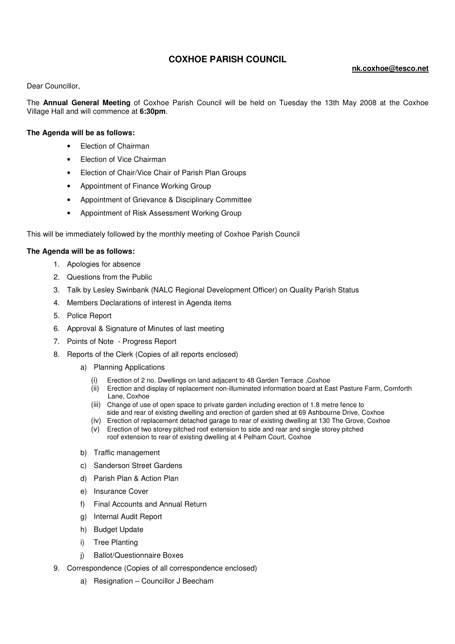## **COXHOE PARISH COUNCIL**

## **nk.coxhoe@tesco.net**

Dear Councillor,

The **Annual General Meeting** of Coxhoe Parish Council will be held on Tuesday the 13th May 2008 at the Coxhoe Village Hall and will commence at **6:30pm**.

## **The Agenda will be as follows:**

- Election of Chairman
- Election of Vice Chairman
- Election of Chair/Vice Chair of Parish Plan Groups
- Appointment of Finance Working Group
- Appointment of Grievance & Disciplinary Committee
- Appointment of Risk Assessment Working Group

This will be immediately followed by the monthly meeting of Coxhoe Parish Council

## **The Agenda will be as follows:**

- 1. Apologies for absence
- 2. Questions from the Public
- 3. Talk by Lesley Swinbank (NALC Regional Development Officer) on Quality Parish Status
- 4. Members Declarations of interest in Agenda items
- 5. Police Report
- 6. Approval & Signature of Minutes of last meeting
- 7. Points of Note Progress Report
- 8. Reports of the Clerk (Copies of all reports enclosed)
	- a) Planning Applications
		- (i) Erection of 2 no. Dwellings on land adjacent to 48 Garden Terrace ,Coxhoe
		- (ii) Erection and display of replacement non-illuminated information board at East Pasture Farm, Cornforth Lane, Coxhoe
		- (iii) Change of use of open space to private garden including erection of 1.8 metre fence to side and rear of existing dwelling and erection of garden shed at 69 Ashbourne Drive, Coxhoe
		- (iv) Erection of replacement detached garage to rear of existing dwelling at 130 The Grove, Coxhoe
		- (v) Erection of two storey pitched roof extension to side and rear and single storey pitched roof extension to rear of existing dwelling at 4 Pelham Court, Coxhoe
	- b) Traffic management
	- c) Sanderson Street Gardens
	- d) Parish Plan & Action Plan
	- e) Insurance Cover
	- f) Final Accounts and Annual Return
	- g) Internal Audit Report
	- h) Budget Update
	- i) Tree Planting
	- j) Ballot/Questionnaire Boxes
- 9. Correspondence (Copies of all correspondence enclosed)
	- a) Resignation Councillor J Beecham